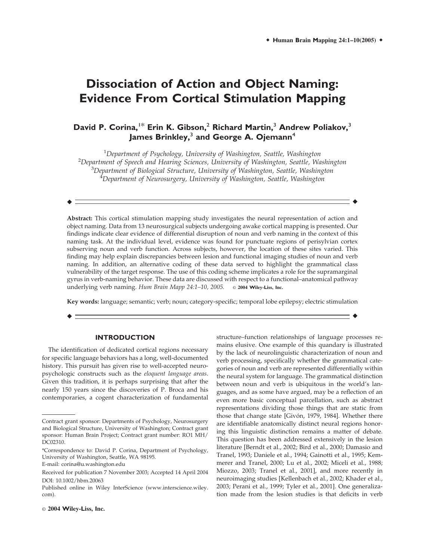# **Dissociation of Action and Object Naming: Evidence From Cortical Stimulation Mapping**

**David P. Corina,**1\* **Erin K. Gibson,**<sup>2</sup> **Richard Martin,**<sup>3</sup> **Andrew Poliakov,**<sup>3</sup> **James Brinkley,**<sup>3</sup> **and George A. Ojemann**<sup>4</sup>

 *Department of Psychology, University of Washington, Seattle, Washington* <sup>2</sup> *Department of Speech and Hearing Sciences, University of Washington, Seattle, Washington Department of Biological Structure, University of Washington, Seattle, Washington Department of Neurosurgery, University of Washington, Seattle, Washington*

**Abstract:** This cortical stimulation mapping study investigates the neural representation of action and object naming. Data from 13 neurosurgical subjects undergoing awake cortical mapping is presented. Our findings indicate clear evidence of differential disruption of noun and verb naming in the context of this naming task. At the individual level, evidence was found for punctuate regions of perisylvian cortex subserving noun and verb function. Across subjects, however, the location of these sites varied. This finding may help explain discrepancies between lesion and functional imaging studies of noun and verb naming. In addition, an alternative coding of these data served to highlight the grammatical class vulnerability of the target response. The use of this coding scheme implicates a role for the supramarginal gyrus in verb-naming behavior. These data are discussed with respect to a functional–anatomical pathway underlying verb naming. *Hum Brain Mapp 24:1–10, 2005.* © **2004 Wiley-Liss, Inc.**

**Key words:** language; semantic; verb; noun; category-specific; temporal lobe epilepsy; electric stimulation

 $\blacklozenge$  and the contract of the contract of the contract of the contract of  $\blacklozenge$ 

# **INTRODUCTION**

The identification of dedicated cortical regions necessary for specific language behaviors has a long, well-documented history. This pursuit has given rise to well-accepted neuropsychologic constructs such as the *eloquent language areas*. Given this tradition, it is perhaps surprising that after the nearly 150 years since the discoveries of P. Broca and his contemporaries, a cogent characterization of fundamental

gories of noun and verb are represented differentially within the neural system for language. The grammatical distinction between noun and verb is ubiquitous in the world's languages, and as some have argued, may be a reflection of an even more basic conceptual parcellation, such as abstract representations dividing those things that are static from those that change state [Givón, 1979, 1984]. Whether there are identifiable anatomically distinct neural regions honoring this linguistic distinction remains a matter of debate. This question has been addressed extensively in the lesion literature [Berndt et al., 2002; Bird et al., 2000; Damasio and Tranel, 1993; Daniele et al., 1994; Gainotti et al., 1995; Kemmerer and Tranel, 2000; Lu et al., 2002; Miceli et al., 1988; Miozzo, 2003; Tranel et al., 2001], and more recently in neuroimaging studies [Kellenbach et al., 2002; Khader et al., 2003; Perani et al., 1999; Tyler et al., 2001]. One generalization made from the lesion studies is that deficits in verb

structure–function relationships of language processes remains elusive. One example of this quandary is illustrated by the lack of neurolinguistic characterization of noun and verb processing, specifically whether the grammatical cate-

Contract grant sponsor: Departments of Psychology, Neurosurgery and Biological Structure, University of Washington; Contract grant sponsor: Human Brain Project; Contract grant number: RO1 MH/ DC02310.

<sup>\*</sup>Correspondence to: David P. Corina, Department of Psychology, University of Washington, Seattle, WA 98195.

E-mail: corina@u.washington.edu

Received for publication 7 November 2003; Accepted 14 April 2004 DOI: 10.1002/hbm.20063

Published online in Wiley InterScience (www.interscience.wiley. com).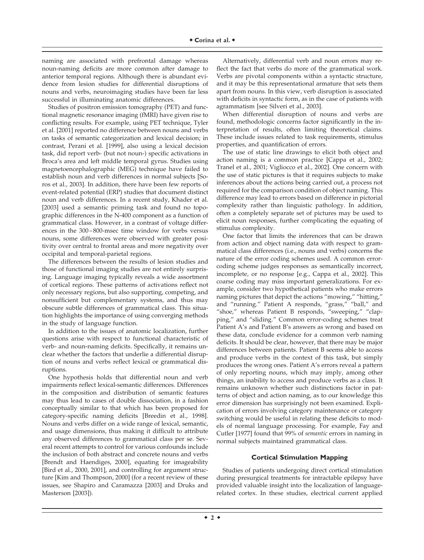naming are associated with prefrontal damage whereas noun-naming deficits are more common after damage to anterior temporal regions. Although there is abundant evidence from lesion studies for differential disruptions of nouns and verbs, neuroimaging studies have been far less successful in illuminating anatomic differences.

Studies of positron emission tomography (PET) and functional magnetic resonance imaging (fMRI) have given rise to conflicting results. For example, using PET technique, Tyler et al. [2001] reported no difference between nouns and verbs on tasks of semantic categorization and lexical decision; in contrast, Perani et al. [1999], also using a lexical decision task, did report verb- (but not noun-) specific activations in Broca's area and left middle temporal gyrus. Studies using magnetoencephalographic (MEG) technique have failed to establish noun and verb differences in normal subjects [Soros et al., 2003]. In addition, there have been few reports of event-related potential (ERP) studies that document distinct noun and verb differences. In a recent study, Khader et al. [2003] used a semantic priming task and found no topographic differences in the N-400 component as a function of grammatical class. However, in a contrast of voltage differences in the 300–800-msec time window for verbs versus nouns, some differences were observed with greater positivity over central to frontal areas and more negativity over occipital and temporal-parietal regions.

The differences between the results of lesion studies and those of functional imaging studies are not entirely surprising. Language imaging typically reveals a wide assortment of cortical regions. These patterns of activations reflect not only necessary regions, but also supporting, competing, and nonsufficient but complementary systems, and thus may obscure subtle differences of grammatical class. This situation highlights the importance of using converging methods in the study of language function.

In addition to the issues of anatomic localization, further questions arise with respect to functional characteristic of verb- and noun-naming deficits. Specifically, it remains unclear whether the factors that underlie a differential disruption of nouns and verbs reflect lexical or grammatical disruptions.

One hypothesis holds that differential noun and verb impairments reflect lexical-semantic differences. Differences in the composition and distribution of semantic features may thus lead to cases of double dissociation, in a fashion conceptually similar to that which has been proposed for category-specific naming deficits [Breedin et al., 1998]. Nouns and verbs differ on a wide range of lexical, semantic, and usage dimensions, thus making it difficult to attribute any observed differences to grammatical class per se. Several recent attempts to control for various confounds include the inclusion of both abstract and concrete nouns and verbs [Brendt and Haendiges, 2000], equating for imageability [Bird et al., 2000, 2001], and controlling for argument structure [Kim and Thompson, 2000] (for a recent review of these issues, see Shapiro and Caramazza [2003] and Druks and Masterson [2003]).

Alternatively, differential verb and noun errors may reflect the fact that verbs do more of the grammatical work. Verbs are pivotal components within a syntactic structure, and it may be this representational armature that sets them apart from nouns. In this view, verb disruption is associated with deficits in syntactic form, as in the case of patients with agrammatism [see Silveri et al., 2003].

When differential disruption of nouns and verbs are found, methodologic concerns factor significantly in the interpretation of results, often limiting theoretical claims. These include issues related to task requirements, stimulus properties, and quantification of errors.

The use of static line drawings to elicit both object and action naming is a common practice [Cappa et al., 2002; Tranel et al., 2001; Vigliocco et al., 2002]. One concern with the use of static pictures is that it requires subjects to make inferences about the actions being carried out, a process not required for the comparison condition of object naming. This difference may lead to errors based on difference in pictorial complexity rather than linguistic pathology. In addition, often a completely separate set of pictures may be used to elicit noun responses, further complicating the equating of stimulus complexity.

One factor that limits the inferences that can be drawn from action and object naming data with respect to grammatical class differences (i.e., nouns and verbs) concerns the nature of the error coding schemes used. A common errorcoding scheme judges responses as semantically incorrect, incomplete, or no response [e.g., Cappa et al., 2002]. This coarse coding may miss important generalizations. For example, consider two hypothetical patients who make errors naming pictures that depict the actions "mowing," "hitting," and "running." Patient A responds, "grass," "ball," and "shoe," whereas Patient B responds, "sweeping," "clapping," and "sliding." Common error-coding schemes treat Patient A's and Patient B's answers as wrong and based on these data, conclude evidence for a common verb naming deficits. It should be clear, however, that there may be major differences between patients. Patient B seems able to access and produce verbs in the context of this task, but simply produces the wrong ones. Patient A's errors reveal a pattern of only reporting nouns, which may imply, among other things, an inability to access and produce verbs as a class. It remains unknown whether such distinctions factor in patterns of object and action naming, as to our knowledge this error dimension has surprisingly not been examined. Explication of errors involving category maintenance or category switching would be useful in relating these deficits to models of normal language processing. For example, Fay and Cutler [1977] found that 99% of *semantic* errors in naming in normal subjects maintained grammatical class.

## **Cortical Stimulation Mapping**

Studies of patients undergoing direct cortical stimulation during presurgical treatments for intractable epilepsy have provided valuable insight into the localization of languagerelated cortex. In these studies, electrical current applied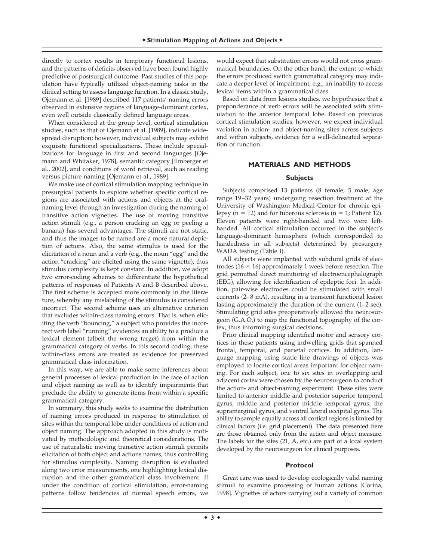directly to cortex results in temporary functional lesions, and the patterns of deficits observed have been found highly predictive of postsurgical outcome. Past studies of this population have typically utilized object-naming tasks in the clinical setting to assess language function. In a classic study, Ojemann et al. [1989] described 117 patients' naming errors observed in extensive regions of language-dominant cortex, even well outside classically defined language areas.

When considered at the group level, cortical stimulation studies, such as that of Ojemann et al. [1989], indicate widespread disruption; however, individual subjects may exhibit exquisite functional specializations. These include specializations for language in first and second languages [Ojemann and Whitaker, 1978], semantic category [Ilmberger et al., 2002], and conditions of word retrieval, such as reading versus picture naming [Ojemann et al., 1989].

We make use of cortical stimulation mapping technique in presurgical patients to explore whether specific cortical regions are associated with actions and objects at the oralnaming level through an investigation during the naming of transitive action vignettes. The use of moving transitive action stimuli (e.g., a person cracking an egg or peeling a banana) has several advantages. The stimuli are not static, and thus the images to be named are a more natural depiction of actions. Also, the same stimulus is used for the elicitation of a noun and a verb (e.g., the noun "egg" and the action "cracking" are elicited using the same vignette), thus stimulus complexity is kept constant. In addition, we adopt two error-coding schemes to differentiate the hypothetical patterns of responses of Patients A and B described above. The first scheme is accepted more commonly in the literature, whereby any mislabeling of the stimulus is considered incorrect. The second scheme uses an alternative criterion that excludes within-class naming errors. That is, when eliciting the verb "bouncing," a subject who provides the incorrect verb label "running" evidences an ability to a produce a lexical element (albeit the wrong target) from within the grammatical category of verbs. In this second coding, these within-class errors are treated as evidence for preserved grammatical class information.

In this way, we are able to make some inferences about general processes of lexical production in the face of action and object naming as well as to identify impairments that preclude the ability to generate items from within a specific grammatical category.

In summary, this study seeks to examine the distribution of naming errors produced in response to stimulation of sites within the temporal lobe under conditions of action and object naming. The approach adopted in this study is motivated by methodologic and theoretical considerations. The use of naturalistic moving transitive action stimuli permits elicitation of both object and actions names, thus controlling for stimulus complexity. Naming disruption is evaluated along two error measurements, one highlighting lexical disruption and the other grammatical class involvement. If under the condition of cortical stimulation, error-naming patterns follow tendencies of normal speech errors, we

would expect that substitution errors would not cross grammatical boundaries. On the other hand, the extent to which the errors produced switch grammatical category may indicate a deeper level of impairment, e.g., an inability to access lexical items within a grammatical class.

Based on data from lesions studies, we hypothesize that a preponderance of verb errors will be associated with stimulation to the anterior temporal lobe. Based on previous cortical stimulation studies, however, we expect individual variation in action- and object-naming sites across subjects and within subjects, evidence for a well-delineated separation of function.

# **MATERIALS AND METHODS**

#### **Subjects**

Subjects comprised 13 patients (8 female, 5 male; age range 19 –32 years) undergoing resection treatment at the University of Washington Medical Center for chronic epilepsy ( $n = 12$ ) and for tuberous sclerosis ( $n = 1$ ; Patient 12). Eleven patients were right-handed and two were lefthanded. All cortical stimulation occurred in the subject's language-dominant hemisphere (which corresponded to handedness in all subjects) determined by presurgery WADA testing (Table I).

All subjects were implanted with subdural grids of electrodes (16  $\times$  16) approximately 1 week before resection. The grid permitted direct monitoring of electroencephalograph (EEG), allowing for identification of epileptic foci. In addition, pair-wise electrodes could be stimulated with small currents (2–8 mA), resulting in a transient functional lesion lasting approximately the duration of the current (1–2 sec). Stimulating grid sites preoperatively allowed the neurosurgeon (G.A.O.) to map the functional topography of the cortex, thus informing surgical decisions.

Prior clinical mapping identified motor and sensory cortices in these patients using indwelling grids that spanned frontal, temporal, and parietal cortices. In addition, language mapping using static line drawings of objects was employed to locate cortical areas important for object naming. For each subject, one to six sites in overlapping and adjacent cortex were chosen by the neurosurgeon to conduct the action- and object-naming experiment. These sites were limited to anterior middle and posterior superior temporal gyrus, middle and posterior middle temporal gyrus, the supramarginal gyrus, and ventral lateral occipital gyrus. The ability to sample equally across all cortical regions is limited by clinical factors (i.e. grid placement). The data presented here are those obtained only from the action and object measure. The labels for the sites (21, A, etc.) are part of a local system developed by the neurosurgeon for clinical purposes.

#### **Protocol**

Great care was used to develop ecologically valid naming stimuli to examine processing of human actions [Corina, 1998]. Vignettes of actors carrying out a variety of common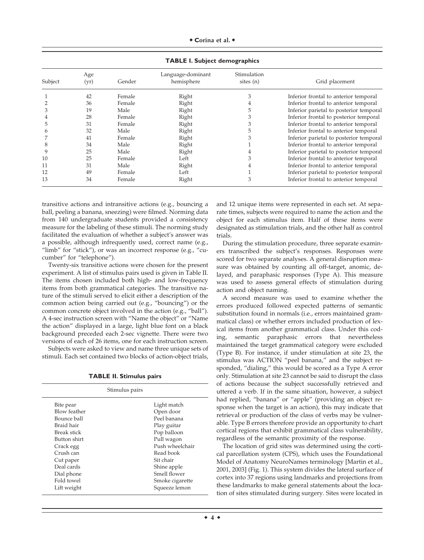| <b>I ABLE 1. Subject demographics</b> |             |        |                                 |                            |                                         |  |  |  |  |  |
|---------------------------------------|-------------|--------|---------------------------------|----------------------------|-----------------------------------------|--|--|--|--|--|
| Subject                               | Age<br>(yr) | Gender | Language-dominant<br>hemisphere | Stimulation<br>sites $(n)$ | Grid placement                          |  |  |  |  |  |
|                                       | 42          | Female | Right                           |                            | Inferior frontal to anterior temporal   |  |  |  |  |  |
|                                       | 36          | Female | Right                           | 4.                         | Inferior frontal to anterior temporal   |  |  |  |  |  |
| 3                                     | 19          | Male   | Right                           |                            | Inferior parietal to posterior temporal |  |  |  |  |  |
|                                       | 28          | Female | Right                           |                            | Inferior frontal to posterior temporal  |  |  |  |  |  |
| 5                                     | 31          | Female | Right                           |                            | Inferior frontal to anterior temporal   |  |  |  |  |  |
| h                                     | 32          | Male   | Right                           |                            | Inferior frontal to anterior temporal   |  |  |  |  |  |
|                                       | 41          | Female | Right                           |                            | Inferior parietal to posterior temporal |  |  |  |  |  |
| 8                                     | 34          | Male   | Right                           |                            | Inferior frontal to anterior temporal   |  |  |  |  |  |
| 9                                     | 25          | Male   | Right                           | 4                          | Inferior parietal to posterior temporal |  |  |  |  |  |
| 10                                    | 25          | Female | Left                            |                            | Inferior frontal to anterior temporal   |  |  |  |  |  |
| 11                                    | 31          | Male   | Right                           |                            | Inferior frontal to anterior temporal   |  |  |  |  |  |
| 12                                    | 49          | Female | Left                            |                            | Inferior parietal to posterior temporal |  |  |  |  |  |
| 13                                    | 34          | Female | Right                           |                            | Inferior frontal to anterior temporal   |  |  |  |  |  |

**TABLE I. SUBJECT DEMOGRAPHICS** 

transitive actions and intransitive actions (e.g., bouncing a ball, peeling a banana, sneezing) were filmed. Norming data from 140 undergraduate students provided a consistency measure for the labeling of these stimuli. The norming study facilitated the evaluation of whether a subject's answer was a possible, although infrequently used, correct name (e.g., "limb" for "stick"), or was an incorrect response (e.g., "cucumber" for "telephone").

Twenty-six transitive actions were chosen for the present experiment. A list of stimulus pairs used is given in Table II. The items chosen included both high- and low-frequency items from both grammatical categories. The transitive nature of the stimuli served to elicit either a description of the common action being carried out (e.g., "bouncing") or the common concrete object involved in the action (e.g., "ball"). A 4-sec instruction screen with "Name the object" or "Name the action" displayed in a large, light blue font on a black background preceded each 2-sec vignette. There were two versions of each of 26 items, one for each instruction screen.

Subjects were asked to view and name three unique sets of stimuli. Each set contained two blocks of action-object trials,

**TABLE II. Stimulus pairs**

|                     | Stimulus pairs  |
|---------------------|-----------------|
| Bite pear           | Light match     |
| <b>Blow feather</b> | Open door       |
| Bounce ball         | Peel banana     |
| Braid hair          | Play guitar     |
| Break stick         | Pop balloon     |
| Button shirt        | Pull wagon      |
| Crack egg           | Push wheelchair |
| Crush can           | Read book       |
| Cut paper           | Sit chair       |
| Deal cards          | Shine apple     |
| Dial phone          | Smell flower    |
| Fold towel          | Smoke cigarette |
| Lift weight         | Squeeze lemon   |

and 12 unique items were represented in each set. At separate times, subjects were required to name the action and the object for each stimulus item. Half of these items were designated as stimulation trials, and the other half as control trials.

During the stimulation procedure, three separate examiners transcribed the subject's responses. Responses were scored for two separate analyses. A general disruption measure was obtained by counting all off-target, anomic, delayed, and paraphasic responses (Type A). This measure was used to assess general effects of stimulation during action and object naming.

A second measure was used to examine whether the errors produced followed expected patterns of semantic substitution found in normals (i.e., errors maintained grammatical class) or whether errors included production of lexical items from another grammatical class. Under this coding, semantic paraphasic errors that nevertheless maintained the target grammatical category were excluded (Type B). For instance, if under stimulation at site 23, the stimulus was ACTION "peel banana," and the subject responded, "dialing," this would be scored as a Type A error only. Stimulation at site 23 cannot be said to disrupt the class of actions because the subject successfully retrieved and uttered a verb. If in the same situation, however, a subject had replied, "banana" or "apple" (providing an object response when the target is an action), this may indicate that retrieval or production of the class of verbs may be vulnerable. Type B errors therefore provide an opportunity to chart cortical regions that exhibit grammatical class vulnerability, regardless of the semantic proximity of the response.

The location of grid sites was determined using the cortical parcellation system (CPS), which uses the Foundational Model of Anatomy NeuroNames terminology [Martin et al., 2001, 2003] (Fig. 1). This system divides the lateral surface of cortex into 37 regions using landmarks and projections from these landmarks to make general statements about the location of sites stimulated during surgery. Sites were located in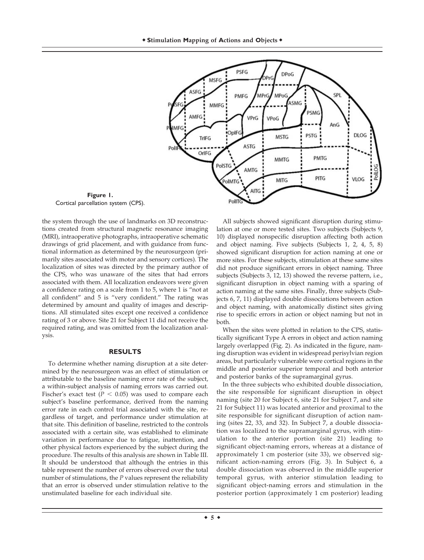

**Figure 1.** Cortical parcellation system (CPS).

the system through the use of landmarks on 3D reconstructions created from structural magnetic resonance imaging (MRI), intraoperative photographs, intraoperative schematic drawings of grid placement, and with guidance from functional information as determined by the neurosurgeon (primarily sites associated with motor and sensory cortices). The localization of sites was directed by the primary author of the CPS, who was unaware of the sites that had errors associated with them. All localization endeavors were given a confidence rating on a scale from 1 to 5, where 1 is "not at all confident" and 5 is "very confident." The rating was determined by amount and quality of images and descriptions. All stimulated sites except one received a confidence rating of 3 or above. Site 21 for Subject 11 did not receive the required rating, and was omitted from the localization analysis.

## **RESULTS**

To determine whether naming disruption at a site determined by the neurosurgeon was an effect of stimulation or attributable to the baseline naming error rate of the subject, a within-subject analysis of naming errors was carried out. Fischer's exact test  $(P < 0.05)$  was used to compare each subject's baseline performance, derived from the naming error rate in each control trial associated with the site, regardless of target, and performance under stimulation at that site. This definition of baseline, restricted to the controls associated with a certain site, was established to eliminate variation in performance due to fatigue, inattention, and other physical factors experienced by the subject during the procedure. The results of this analysis are shown in Table III. It should be understood that although the entries in this table represent the number of errors observed over the total number of stimulations, the *P* values represent the reliability that an error is observed under stimulation relative to the unstimulated baseline for each individual site.

All subjects showed significant disruption during stimulation at one or more tested sites. Two subjects (Subjects 9, 10) displayed nonspecific disruption affecting both action and object naming. Five subjects (Subjects 1, 2, 4, 5, 8) showed significant disruption for action naming at one or more sites. For these subjects, stimulation at these same sites did not produce significant errors in object naming. Three subjects (Subjects 3, 12, 13) showed the reverse pattern, i.e., significant disruption in object naming with a sparing of action naming at the same sites. Finally, three subjects (Subjects 6, 7, 11) displayed double dissociations between action and object naming, with anatomically distinct sites giving rise to specific errors in action or object naming but not in both.

When the sites were plotted in relation to the CPS, statistically significant Type A errors in object and action naming largely overlapped (Fig. 2). As indicated in the figure, naming disruption was evident in widespread perisylvian region areas, but particularly vulnerable were cortical regions in the middle and posterior superior temporal and both anterior and posterior banks of the supramarginal gyrus.

In the three subjects who exhibited double dissociation, the site responsible for significant disruption in object naming (site 20 for Subject 6, site 21 for Subject 7, and site 21 for Subject 11) was located anterior and proximal to the site responsible for significant disruption of action naming (sites 22, 33, and 32). In Subject 7, a double dissociation was localized to the supramarginal gyrus, with stimulation to the anterior portion (site 21) leading to significant object-naming errors, whereas at a distance of approximately 1 cm posterior (site 33), we observed significant action-naming errors (Fig. 3). In Subject 6, a double dissociation was observed in the middle superior temporal gyrus, with anterior stimulation leading to significant object-naming errors and stimulation in the posterior portion (approximately 1 cm posterior) leading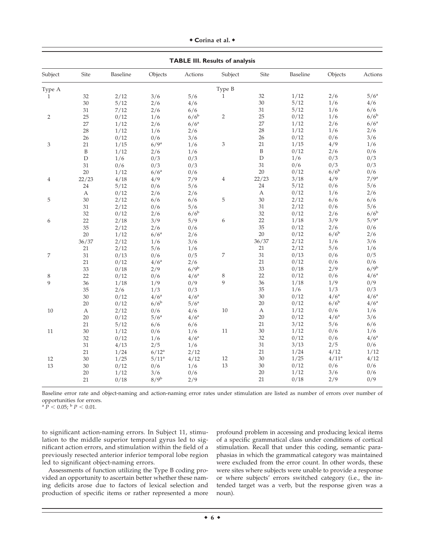| <b>TABLE III. Results of analysis</b> |             |          |                  |                  |                |                  |          |                  |                  |  |  |
|---------------------------------------|-------------|----------|------------------|------------------|----------------|------------------|----------|------------------|------------------|--|--|
| Subject                               | Site        | Baseline | Objects          | Actions          | Subject        | Site             | Baseline | Objects          | Actions          |  |  |
| Type A                                |             |          |                  |                  | Type B         |                  |          |                  |                  |  |  |
| $\mathbf{1}$                          | 32          | 2/12     | 3/6              | 5/6              | $\mathbf{1}$   | 32               | 1/12     | 2/6              | $5/6^a$          |  |  |
|                                       | 30          | 5/12     | 2/6              | 4/6              |                | 30               | 5/12     | 1/6              | 4/6              |  |  |
|                                       | 31          | 7/12     | 2/6              | 6/6              |                | 31               | 5/12     | 1/6              | 6/6              |  |  |
| $\overline{2}$                        | 25          | 0/12     | 1/6              | $6/6^b$          | $\overline{2}$ | 25               | 0/12     | 1/6              | $6/6^b$          |  |  |
|                                       | 27          | 1/12     | 2/6              | $6/6^a$          |                | 27               | 1/12     | 2/6              | 6/6 <sup>a</sup> |  |  |
|                                       | 28          | 1/12     | 1/6              | 2/6              |                | 28               | 1/12     | 1/6              | 2/6              |  |  |
|                                       | 26          | 0/12     | 0/6              | 3/6              |                | 26               | 0/12     | 0/6              | 3/6              |  |  |
| $\ensuremath{\mathsf{3}}$             | 21          | 1/15     | 6/9 <sup>a</sup> | 1/6              | 3              | 21               | 1/15     | 4/9              | 1/6              |  |  |
|                                       | B           | 1/12     | 2/6              | 1/6              |                | $\, {\bf B}$     | 0/12     | 2/6              | 0/6              |  |  |
|                                       | $\mathbf D$ | 1/6      | 0/3              | 0/3              |                | $\mathbf D$      | 1/6      | 0/3              | 0/3              |  |  |
|                                       | 31          | 0/6      | 0/3              | 0/3              |                | 31               | 0/6      | 0/3              | 0/3              |  |  |
|                                       | $20\,$      | 1/12     | 6/6 <sup>a</sup> | 0/6              |                | 20               | 0/12     | $6/6^b$          | 0/6              |  |  |
| $\overline{4}$                        | 22/23       | 4/18     | 4/9              | 7/9              | $\overline{4}$ | 22/23            | 3/18     | 4/9              | 7/9 <sup>a</sup> |  |  |
|                                       | 24          | 5/12     | 0/6              | 5/6              |                | 24               | 5/12     | 0/6              | 5/6              |  |  |
|                                       | А           | 0/12     | 2/6              | 2/6              |                | А                | 0/12     | 1/6              | 2/6              |  |  |
| 5                                     | 30          | 2/12     | 6/6              | 6/6              | 5              | 30               | 2/12     | 6/6              | 6/6              |  |  |
|                                       | 31          | 2/12     | 0/6              | 5/6              |                | 31               | 2/12     | 0/6              | 5/6              |  |  |
|                                       | 32          | 0/12     | 2/6              | $6/6^b$          |                | 32               | 0/12     | 2/6              | $6/6^b$          |  |  |
| 6                                     | $22\,$      | 2/18     | 3/9              | 5/9              | 6              | 22               | 1/18     | 3/9              | $5/9^a$          |  |  |
|                                       | 35          | 2/12     | 2/6              | 0/6              |                | 35               | 0/12     | 2/6              | 0/6              |  |  |
|                                       | 20          | 1/12     | 6/6 <sup>a</sup> | 2/6              |                | 20               | 0/12     | $6/6^b$          | 2/6              |  |  |
|                                       |             | 2/12     |                  |                  |                | 36/37            | 2/12     | 1/6              | 3/6              |  |  |
|                                       | 36/37       |          | 1/6              | 3/6              |                | 21               | 2/12     | 5/6              | 1/6              |  |  |
|                                       | 21          | 2/12     | 5/6              | 1/6              | 7              | 31               | 0/13     | 0/6              | 0/5              |  |  |
| 7                                     | 31          | 0/13     | 0/6              | 0/5              |                |                  |          |                  |                  |  |  |
|                                       | 21          | 0/12     | 4/6 <sup>a</sup> | 2/6              |                | 21               | 0/12     | 0/6              | 0/6              |  |  |
|                                       | 33          | 0/18     | 2/9              | $6/9^b$          |                | 33               | 0/18     | 2/9              | 6/9 <sup>b</sup> |  |  |
| 8                                     | 22          | 0/12     | 0/6              | 4/6 <sup>a</sup> | 8              | 22               | 0/12     | 0/6              | 4/6 <sup>a</sup> |  |  |
| 9                                     | 36          | 1/18     | 1/9              | 0/9              | 9              | 36               | 1/18     | 1/9              | 0/9              |  |  |
|                                       | 35          | 2/6      | 1/3              | 0/3              |                | 35               | 1/6      | 1/3              | 0/3              |  |  |
|                                       | $30\,$      | 0/12     | 4/6 <sup>a</sup> | 4/6 <sup>a</sup> |                | 30               | 0/12     | 4/6 <sup>a</sup> | $4/6^a$          |  |  |
|                                       | $20\,$      | 0/12     | $6/6^b$          | 5/6 <sup>a</sup> |                | 20               | 0/12     | $6/6^b$          | 4/6 <sup>a</sup> |  |  |
| 10                                    | A           | 2/12     | 0/6              | 4/6              | 10             | $\boldsymbol{A}$ | 1/12     | 0/6              | 1/6              |  |  |
|                                       | 20          | 0/12     | 5/6 <sup>a</sup> | 4/6 <sup>a</sup> |                | $20\,$           | 0/12     | $4/6^a$          | 3/6              |  |  |
|                                       | 21          | 5/12     | 6/6              | 6/6              |                | 21               | 3/12     | 5/6              | 6/6              |  |  |
| 11                                    | 30          | 1/12     | 0/6              | 1/6              | 11             | 30               | 1/12     | 0/6              | 1/6              |  |  |
|                                       | 32          | 0/12     | 1/6              | 4/6 <sup>a</sup> |                | 32               | 0/12     | 0/6              | $4/6^a$          |  |  |
|                                       | 31          | 4/13     | 2/5              | 1/6              |                | 31               | 3/13     | 2/5              | 0/6              |  |  |
|                                       | 21          | 1/24     | $6/12^{a}$       | 2/12             |                | 21               | 1/24     | 4/12             | 1/12             |  |  |
| 12                                    | $30\,$      | 1/25     | $5/11^a$         | 4/12             | 12             | 30               | 1/25     | $4/11^a$         | 4/12             |  |  |
| 13                                    | 30          | 0/12     | 0/6              | 1/6              | 13             | 30               | 0/12     | 0/6              | 0/6              |  |  |
|                                       | 20          | 1/12     | 3/6              | 0/6              |                | $20\,$           | 1/12     | 3/6              | 0/6              |  |  |
|                                       | 21          | 0/18     | 8/9 <sup>b</sup> | 2/9              |                | 21               | 0/18     | 2/9              | 0/9              |  |  |

**Corina et al.**

Baseline error rate and object-naming and action-naming error rates under stimulation are listed as number of errors over number of opportunities for errors.

 $^{\circ}P$  < 0.05;  $^{\circ}P$  < 0.01.

to significant action-naming errors. In Subject 11, stimulation to the middle superior temporal gyrus led to significant action errors, and stimulation within the field of a previously resected anterior inferior temporal lobe region led to significant object-naming errors.

Assessments of function utilizing the Type B coding provided an opportunity to ascertain better whether these naming deficits arose due to factors of lexical selection and production of specific items or rather represented a more

profound problem in accessing and producing lexical items of a specific grammatical class under conditions of cortical stimulation. Recall that under this coding, semantic paraphasias in which the grammatical category was maintained were excluded from the error count. In other words, these were sites where subjects were unable to provide a response or where subjects' errors switched category (i.e., the intended target was a verb, but the response given was a noun).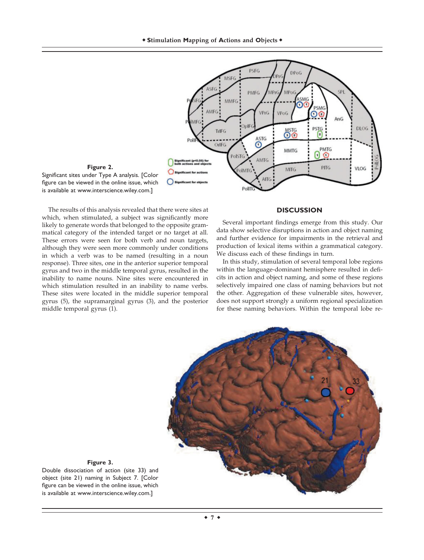



The results of this analysis revealed that there were sites at which, when stimulated, a subject was significantly more likely to generate words that belonged to the opposite grammatical category of the intended target or no target at all. These errors were seen for both verb and noun targets, although they were seen more commonly under conditions in which a verb was to be named (resulting in a noun response). Three sites, one in the anterior superior temporal gyrus and two in the middle temporal gyrus, resulted in the inability to name nouns. Nine sites were encountered in which stimulation resulted in an inability to name verbs. These sites were located in the middle superior temporal gyrus (5), the supramarginal gyrus (3), and the posterior middle temporal gyrus (1).

# **DISCUSSION**

Several important findings emerge from this study. Our data show selective disruptions in action and object naming and further evidence for impairments in the retrieval and production of lexical items within a grammatical category. We discuss each of these findings in turn.

In this study, stimulation of several temporal lobe regions within the language-dominant hemisphere resulted in deficits in action and object naming, and some of these regions selectively impaired one class of naming behaviors but not the other. Aggregation of these vulnerable sites, however, does not support strongly a uniform regional specialization for these naming behaviors. Within the temporal lobe re-



**Figure 3.** Double dissociation of action (site 33) and object (site 21) naming in Subject 7. [Color figure can be viewed in the online issue, which is available at www.interscience.wiley.com.]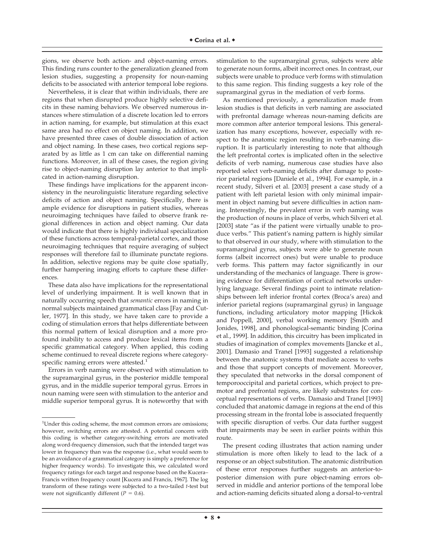gions, we observe both action- and object-naming errors. This finding runs counter to the generalization gleaned from lesion studies, suggesting a propensity for noun-naming deficits to be associated with anterior temporal lobe regions.

Nevertheless, it is clear that within individuals, there are regions that when disrupted produce highly selective deficits in these naming behaviors. We observed numerous instances where stimulation of a discrete location led to errors in action naming, for example, but stimulation at this exact same area had no effect on object naming. In addition, we have presented three cases of double dissociation of action and object naming. In these cases, two cortical regions separated by as little as 1 cm can take on differential naming functions. Moreover, in all of these cases, the region giving rise to object-naming disruption lay anterior to that implicated in action-naming disruption.

These findings have implications for the apparent inconsistency in the neurolinguistic literature regarding selective deficits of action and object naming. Specifically, there is ample evidence for disruptions in patient studies, whereas neuroimaging techniques have failed to observe frank regional differences in action and object naming. Our data would indicate that there is highly individual specialization of these functions across temporal-parietal cortex, and those neuroimaging techniques that require averaging of subject responses will therefore fail to illuminate punctate regions. In addition, selective regions may be quite close spatially, further hampering imaging efforts to capture these differences.

These data also have implications for the representational level of underlying impairment. It is well known that in naturally occurring speech that *semantic* errors in naming in normal subjects maintained grammatical class [Fay and Cutler, 1977]. In this study, we have taken care to provide a coding of stimulation errors that helps differentiate between this normal pattern of lexical disruption and a more profound inability to access and produce lexical items from a specific grammatical category. When applied, this coding scheme continued to reveal discrete regions where categoryspecific naming errors were attested.<sup>1</sup>

Errors in verb naming were observed with stimulation to the supramarginal gyrus, in the posterior middle temporal gyrus, and in the middle superior temporal gyrus. Errors in noun naming were seen with stimulation to the anterior and middle superior temporal gyrus. It is noteworthy that with stimulation to the supramarginal gyrus, subjects were able to generate noun forms, albeit incorrect ones. In contrast, our subjects were unable to produce verb forms with stimulation to this same region. This finding suggests a key role of the supramarginal gyrus in the mediation of verb forms.

As mentioned previously, a generalization made from lesion studies is that deficits in verb naming are associated with prefrontal damage whereas noun-naming deficits are more common after anterior temporal lesions. This generalization has many exceptions, however, especially with respect to the anatomic region resulting in verb-naming disruption. It is particularly interesting to note that although the left prefrontal cortex is implicated often in the selective deficits of verb naming, numerous case studies have also reported select verb-naming deficits after damage to posterior parietal regions [Daniele et al., 1994]. For example, in a recent study, Silveri et al. [2003] present a case study of a patient with left parietal lesion with only minimal impairment in object naming but severe difficulties in action naming. Interestingly, the prevalent error in verb naming was the production of nouns in place of verbs, which Silveri et al. [2003] state "as if the patient were virtually unable to produce verbs." This patient's naming pattern is highly similar to that observed in our study, where with stimulation to the supramarginal gyrus, subjects were able to generate noun forms (albeit incorrect ones) but were unable to produce verb forms. This pattern may factor significantly in our understanding of the mechanics of language. There is growing evidence for differentiation of cortical networks underlying language. Several findings point to intimate relationships between left inferior frontal cortex (Broca's area) and inferior parietal regions (supramarginal gyrus) in language functions, including articulatory motor mapping [Hickok and Poppell, 2000], verbal working memory [Smith and Jonides, 1998], and phonological-semantic binding [Corina et al., 1999]. In addition, this circuitry has been implicated in studies of imagination of complex movements [Jancke et al., 2001]. Damasio and Tranel [1993] suggested a relationship between the anatomic systems that mediate access to verbs and those that support concepts of movement. Moreover, they speculated that networks in the dorsal component of temporooccipital and parietal cortices, which project to premotor and prefrontal regions, are likely substrates for conceptual representations of verbs. Damasio and Tranel [1993] concluded that anatomic damage in regions at the end of this processing stream in the frontal lobe is associated frequently with specific disruption of verbs. Our data further suggest that impairments may be seen in earlier points within this route.

The present coding illustrates that action naming under stimulation is more often likely to lead to the lack of a response or an object substitution. The anatomic distribution of these error responses further suggests an anterior-toposterior dimension with pure object-naming errors observed in middle and anterior portions of the temporal lobe and action-naming deficits situated along a dorsal-to-ventral

<sup>&</sup>lt;sup>1</sup>Under this coding scheme, the most common errors are omissions; however, switching errors are attested. A potential concern with this coding is whether category-switching errors are motivated along word-frequency dimension, such that the intended target was lower in frequency than was the response (i.e., what would seem to be an avoidance of a grammatical category is simply a preference for higher frequency words). To investigate this, we calculated word frequency ratings for each target and response based on the Kucera– Francis written frequency count [Kucera and Francis, 1967]. The log transform of these ratings were subjected to a two-tailed *t*-test but were not significantly different ( $P = 0.6$ ).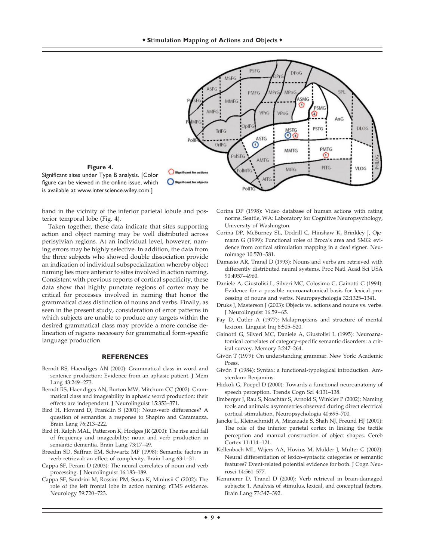

**Figure 4.**

Significant sites under Type B analysis. [Color figure can be viewed in the online issue, which is available at www.interscience.wiley.com.]

band in the vicinity of the inferior parietal lobule and posterior temporal lobe (Fig. 4).

Taken together, these data indicate that sites supporting action and object naming may be well distributed across perisylvian regions. At an individual level, however, naming errors may be highly selective. In addition, the data from the three subjects who showed double dissociation provide an indication of individual subspecialization whereby object naming lies more anterior to sites involved in action naming. Consistent with previous reports of cortical specificity, these data show that highly punctate regions of cortex may be critical for processes involved in naming that honor the grammatical class distinction of nouns and verbs. Finally, as seen in the present study, consideration of error patterns in which subjects are unable to produce any targets within the desired grammatical class may provide a more concise delineation of regions necessary for grammatical form-specific language production.

## **REFERENCES**

- Berndt RS, Haendiges AN (2000): Grammatical class in word and sentence production: Evidence from an aphasic patient. J Mem Lang 43:249 –273.
- Berndt RS, Haendiges AN, Burton MW, Mitchum CC (2002): Grammatical class and imageability in aphasic word production: their effects are independent. J Neurolinguist 15:353–371.
- Bird H, Howard D, Franklin S (2001): Noun-verb differences? A question of semantics: a response to Shapiro and Caramazza. Brain Lang 76:213–222.
- Bird H, Ralph MAL, Patterson K, Hodges JR (2000): The rise and fall of frequency and imageability: noun and verb production in semantic dementia. Brain Lang 73:17-49.
- Breedin SD, Saffran EM, Schwartz MF (1998): Semantic factors in verb retrieval: an effect of complexity. Brain Lang 63:1–31.
- Cappa SF, Perani D (2003): The neural correlates of noun and verb processing. J Neurolinguist 16:183–189.
- Cappa SF, Sandrini M, Rossini PM, Sosta K, Miniusii C (2002): The role of the left frontal lobe in action naming: rTMS evidence. Neurology 59:720 –723.
- Corina DP (1998): Video database of human actions with rating norms. Seattle, WA: Laboratory for Cognitive Neuropsychology, University of Washington.
- Corina DP, McBurney SL, Dodrill C, Hinshaw K, Brinkley J, Ojemann G (1999): Functional roles of Broca's area and SMG: evidence from cortical stimulation mapping in a deaf signer. Neuroimage 10:570 –581.
- Damasio AR, Tranel D (1993): Nouns and verbs are retrieved with differently distributed neural systems. Proc Natl Acad Sci USA 90:4957– 4960.
- Daniele A, Giustolisi L, Silveri MC, Colosimo C, Gainotti G (1994): Evidence for a possible neuroanatomical basis for lexical processing of nouns and verbs. Neuropsychologia 32:1325–1341.
- Druks J, Masterson J (2003): Objects vs. actions and nouns vs. verbs. J Neurolinguist 16:59 – 65.
- Fay D, Cutler A (1977): Malapropisms and structure of mental lexicon. Linguist Inq 8:505–520.
- Gainotti G, Silveri MC, Daniele A, Giustolisi L (1995): Neuroanatomical correlates of category-specific semantic disorders: a critical survey. Memory 3:247–264.
- Givón T (1979): On understanding grammar. New York: Academic Press.
- Givón T (1984): Syntax: a functional-typological introduction. Amsterdam: Benjamins.
- Hickok G, Poepel D (2000): Towards a functional neuroanatomy of speech perception. Trends Cogn Sci 4:131–138.
- Ilmberger J, Rau S, Noachtar S, Arnold S, Winkler P (2002): Naming tools and animals: asymmetries observed during direct electrical cortical stimulation. Neuropsychologia 40:695–700.
- Jancke L, Kleinschmidt A, Mirzazade S, Shah NJ, Freund HJ (2001): The role of the inferior parietal cortex in linking the tactile perception and manual construction of object shapes. Cereb Cortex 11:114 –121.
- Kellenbach ML, Wijers AA, Hovius M, Mulder J, Multer G (2002): Neural differentiation of lexico-syntactic categories or semantic features? Event-related potential evidence for both. J Cogn Neurosci 14:561–577.
- Kemmerer D, Tranel D (2000): Verb retrieval in brain-damaged subjects: 1. Analysis of stimulus, lexical, and conceptual factors. Brain Lang 73:347–392.